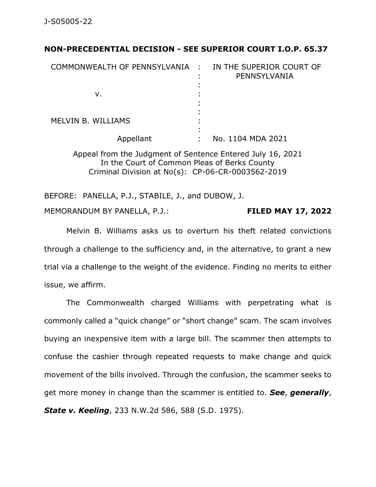## **NON-PRECEDENTIAL DECISION - SEE SUPERIOR COURT I.O.P. 65.37**

| COMMONWEALTH OF PENNSYLVANIA : |   | IN THE SUPERIOR COURT OF<br>PENNSYLVANIA |
|--------------------------------|---|------------------------------------------|
| ν.                             | ٠ |                                          |
| <b>MELVIN B. WILLIAMS</b>      |   |                                          |
| Appellant                      |   | No. 1104 MDA 2021                        |

Appeal from the Judgment of Sentence Entered July 16, 2021 In the Court of Common Pleas of Berks County Criminal Division at No(s): CP-06-CR-0003562-2019

BEFORE: PANELLA, P.J., STABILE, J., and DUBOW, J. MEMORANDUM BY PANELLA, P.J.: **FILED MAY 17, 2022**

Melvin B. Williams asks us to overturn his theft related convictions through a challenge to the sufficiency and, in the alternative, to grant a new trial via a challenge to the weight of the evidence. Finding no merits to either issue, we affirm.

The Commonwealth charged Williams with perpetrating what is commonly called a "quick change" or "short change" scam. The scam involves buying an inexpensive item with a large bill. The scammer then attempts to confuse the cashier through repeated requests to make change and quick movement of the bills involved. Through the confusion, the scammer seeks to get more money in change than the scammer is entitled to. *See*, *generally*, *State v. Keeling*, 233 N.W.2d 586, 588 (S.D. 1975).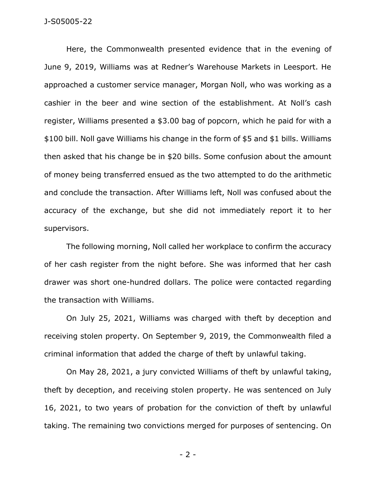Here, the Commonwealth presented evidence that in the evening of June 9, 2019, Williams was at Redner's Warehouse Markets in Leesport. He approached a customer service manager, Morgan Noll, who was working as a cashier in the beer and wine section of the establishment. At Noll's cash register, Williams presented a \$3.00 bag of popcorn, which he paid for with a \$100 bill. Noll gave Williams his change in the form of \$5 and \$1 bills. Williams then asked that his change be in \$20 bills. Some confusion about the amount of money being transferred ensued as the two attempted to do the arithmetic and conclude the transaction. After Williams left, Noll was confused about the accuracy of the exchange, but she did not immediately report it to her supervisors.

The following morning, Noll called her workplace to confirm the accuracy of her cash register from the night before. She was informed that her cash drawer was short one-hundred dollars. The police were contacted regarding the transaction with Williams.

On July 25, 2021, Williams was charged with theft by deception and receiving stolen property. On September 9, 2019, the Commonwealth filed a criminal information that added the charge of theft by unlawful taking.

On May 28, 2021, a jury convicted Williams of theft by unlawful taking, theft by deception, and receiving stolen property. He was sentenced on July 16, 2021, to two years of probation for the conviction of theft by unlawful taking. The remaining two convictions merged for purposes of sentencing. On

- 2 -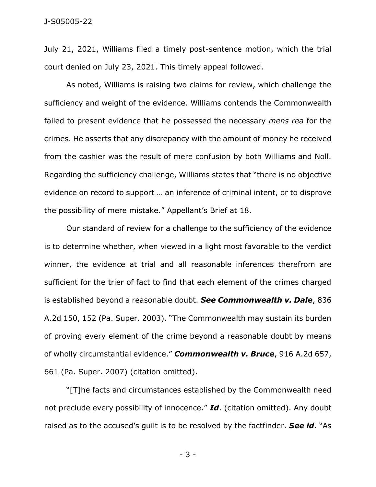July 21, 2021, Williams filed a timely post-sentence motion, which the trial court denied on July 23, 2021. This timely appeal followed.

As noted, Williams is raising two claims for review, which challenge the sufficiency and weight of the evidence. Williams contends the Commonwealth failed to present evidence that he possessed the necessary *mens rea* for the crimes. He asserts that any discrepancy with the amount of money he received from the cashier was the result of mere confusion by both Williams and Noll. Regarding the sufficiency challenge, Williams states that "there is no objective evidence on record to support … an inference of criminal intent, or to disprove the possibility of mere mistake." Appellant's Brief at 18.

Our standard of review for a challenge to the sufficiency of the evidence is to determine whether, when viewed in a light most favorable to the verdict winner, the evidence at trial and all reasonable inferences therefrom are sufficient for the trier of fact to find that each element of the crimes charged is established beyond a reasonable doubt. *See Commonwealth v. Dale*, 836 A.2d 150, 152 (Pa. Super. 2003). "The Commonwealth may sustain its burden of proving every element of the crime beyond a reasonable doubt by means of wholly circumstantial evidence." *Commonwealth v. Bruce*, 916 A.2d 657, 661 (Pa. Super. 2007) (citation omitted).

"[T]he facts and circumstances established by the Commonwealth need not preclude every possibility of innocence." *Id*. (citation omitted). Any doubt raised as to the accused's guilt is to be resolved by the factfinder. *See id*. "As

- 3 -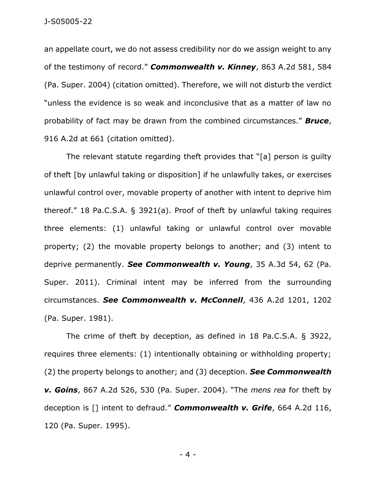an appellate court, we do not assess credibility nor do we assign weight to any of the testimony of record." *Commonwealth v. Kinney*, 863 A.2d 581, 584 (Pa. Super. 2004) (citation omitted). Therefore, we will not disturb the verdict "unless the evidence is so weak and inconclusive that as a matter of law no probability of fact may be drawn from the combined circumstances." *Bruce*, 916 A.2d at 661 (citation omitted).

The relevant statute regarding theft provides that "[a] person is guilty of theft [by unlawful taking or disposition] if he unlawfully takes, or exercises unlawful control over, movable property of another with intent to deprive him thereof." 18 Pa.C.S.A. § 3921(a). Proof of theft by unlawful taking requires three elements: (1) unlawful taking or unlawful control over movable property; (2) the movable property belongs to another; and (3) intent to deprive permanently. *See Commonwealth v. Young*, 35 A.3d 54, 62 (Pa. Super. 2011). Criminal intent may be inferred from the surrounding circumstances. *See Commonwealth v. McConnell*, 436 A.2d 1201, 1202 (Pa. Super. 1981).

The crime of theft by deception, as defined in 18 Pa.C.S.A. § 3922, requires three elements: (1) intentionally obtaining or withholding property; (2) the property belongs to another; and (3) deception. *See Commonwealth v. Goins*, 867 A.2d 526, 530 (Pa. Super. 2004). "The *mens rea* for theft by deception is [] intent to defraud." *Commonwealth v. Grife*, 664 A.2d 116, 120 (Pa. Super. 1995).

- 4 -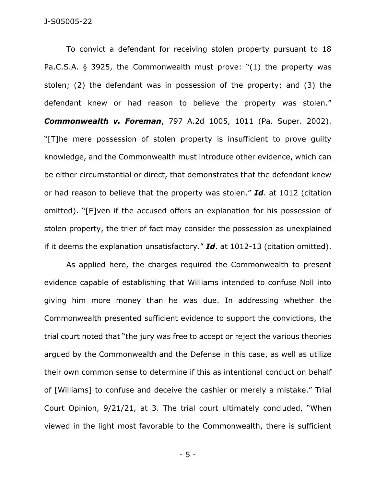To convict a defendant for receiving stolen property pursuant to 18 Pa.C.S.A. § 3925, the Commonwealth must prove: "(1) the property was stolen; (2) the defendant was in possession of the property; and (3) the defendant knew or had reason to believe the property was stolen." *Commonwealth v. Foreman*, 797 A.2d 1005, 1011 (Pa. Super. 2002). "[T]he mere possession of stolen property is insufficient to prove guilty knowledge, and the Commonwealth must introduce other evidence, which can be either circumstantial or direct, that demonstrates that the defendant knew or had reason to believe that the property was stolen." *Id*. at 1012 (citation omitted). "[E]ven if the accused offers an explanation for his possession of stolen property, the trier of fact may consider the possession as unexplained if it deems the explanation unsatisfactory." *Id*. at 1012-13 (citation omitted).

As applied here, the charges required the Commonwealth to present evidence capable of establishing that Williams intended to confuse Noll into giving him more money than he was due. In addressing whether the Commonwealth presented sufficient evidence to support the convictions, the trial court noted that "the jury was free to accept or reject the various theories argued by the Commonwealth and the Defense in this case, as well as utilize their own common sense to determine if this as intentional conduct on behalf of [Williams] to confuse and deceive the cashier or merely a mistake." Trial Court Opinion, 9/21/21, at 3. The trial court ultimately concluded, "When viewed in the light most favorable to the Commonwealth, there is sufficient

- 5 -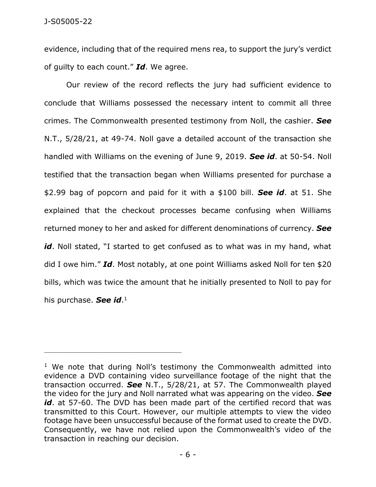evidence, including that of the required mens rea, to support the jury's verdict of guilty to each count." *Id*. We agree.

Our review of the record reflects the jury had sufficient evidence to conclude that Williams possessed the necessary intent to commit all three crimes. The Commonwealth presented testimony from Noll, the cashier. *See* N.T., 5/28/21, at 49-74. Noll gave a detailed account of the transaction she handled with Williams on the evening of June 9, 2019. *See id*. at 50-54. Noll testified that the transaction began when Williams presented for purchase a \$2.99 bag of popcorn and paid for it with a \$100 bill. *See id*. at 51. She explained that the checkout processes became confusing when Williams returned money to her and asked for different denominations of currency. *See*  id. Noll stated, "I started to get confused as to what was in my hand, what did I owe him." *Id*. Most notably, at one point Williams asked Noll for ten \$20 bills, which was twice the amount that he initially presented to Noll to pay for his purchase. *See id*. 1

\_\_\_\_\_\_\_\_\_\_\_\_\_\_\_\_\_\_\_\_\_\_\_\_\_\_\_\_\_\_\_\_\_\_\_\_\_\_\_\_\_\_\_\_

<sup>&</sup>lt;sup>1</sup> We note that during Noll's testimony the Commonwealth admitted into evidence a DVD containing video surveillance footage of the night that the transaction occurred. *See* N.T., 5/28/21, at 57. The Commonwealth played the video for the jury and Noll narrated what was appearing on the video. *See*  id. at 57-60. The DVD has been made part of the certified record that was transmitted to this Court. However, our multiple attempts to view the video footage have been unsuccessful because of the format used to create the DVD. Consequently, we have not relied upon the Commonwealth's video of the transaction in reaching our decision.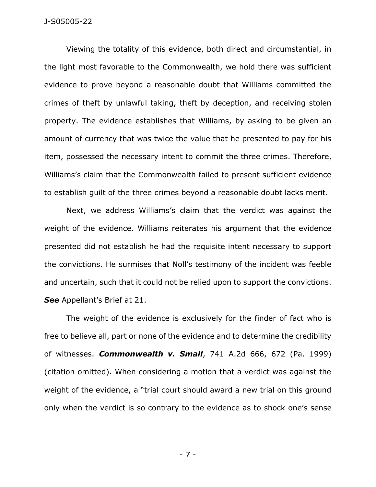Viewing the totality of this evidence, both direct and circumstantial, in the light most favorable to the Commonwealth, we hold there was sufficient evidence to prove beyond a reasonable doubt that Williams committed the crimes of theft by unlawful taking, theft by deception, and receiving stolen property. The evidence establishes that Williams, by asking to be given an amount of currency that was twice the value that he presented to pay for his item, possessed the necessary intent to commit the three crimes. Therefore, Williams's claim that the Commonwealth failed to present sufficient evidence to establish guilt of the three crimes beyond a reasonable doubt lacks merit.

Next, we address Williams's claim that the verdict was against the weight of the evidence. Williams reiterates his argument that the evidence presented did not establish he had the requisite intent necessary to support the convictions. He surmises that Noll's testimony of the incident was feeble and uncertain, such that it could not be relied upon to support the convictions. *See* Appellant's Brief at 21.

The weight of the evidence is exclusively for the finder of fact who is free to believe all, part or none of the evidence and to determine the credibility of witnesses. *Commonwealth v. Small*, 741 A.2d 666, 672 (Pa. 1999) (citation omitted). When considering a motion that a verdict was against the weight of the evidence, a "trial court should award a new trial on this ground only when the verdict is so contrary to the evidence as to shock one's sense

- 7 -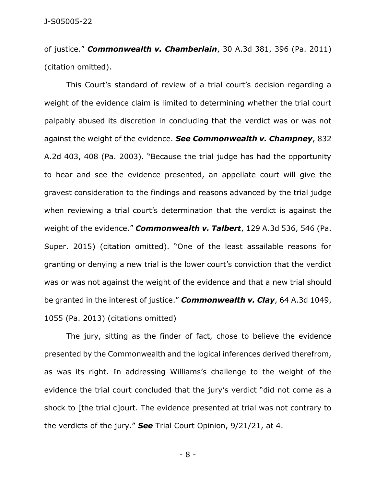of justice." *Commonwealth v. Chamberlain*, 30 A.3d 381, 396 (Pa. 2011) (citation omitted).

This Court's standard of review of a trial court's decision regarding a weight of the evidence claim is limited to determining whether the trial court palpably abused its discretion in concluding that the verdict was or was not against the weight of the evidence. *See Commonwealth v. Champney*, 832 A.2d 403, 408 (Pa. 2003). "Because the trial judge has had the opportunity to hear and see the evidence presented, an appellate court will give the gravest consideration to the findings and reasons advanced by the trial judge when reviewing a trial court's determination that the verdict is against the weight of the evidence." *Commonwealth v. Talbert*, 129 A.3d 536, 546 (Pa. Super. 2015) (citation omitted). "One of the least assailable reasons for granting or denying a new trial is the lower court's conviction that the verdict was or was not against the weight of the evidence and that a new trial should be granted in the interest of justice." *Commonwealth v. Clay*, 64 A.3d 1049, 1055 (Pa. 2013) (citations omitted)

The jury, sitting as the finder of fact, chose to believe the evidence presented by the Commonwealth and the logical inferences derived therefrom, as was its right. In addressing Williams's challenge to the weight of the evidence the trial court concluded that the jury's verdict "did not come as a shock to [the trial c]ourt. The evidence presented at trial was not contrary to the verdicts of the jury." *See* Trial Court Opinion, 9/21/21, at 4.

- 8 -